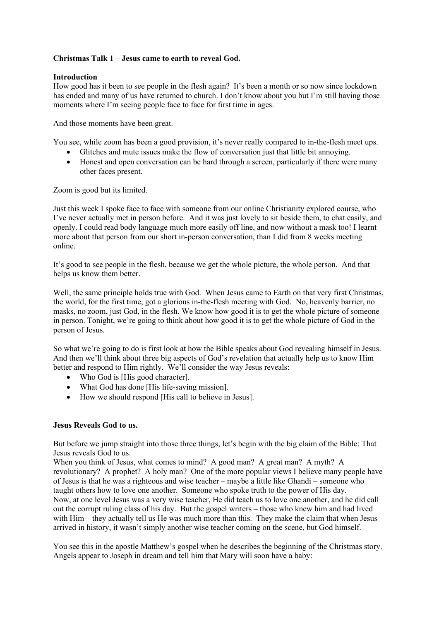# **Christmas Talk 1 – Jesus came to earth to reveal God.**

#### **Introduction**

How good has it been to see people in the flesh again? It's been a month or so now since lockdown has ended and many of us have returned to church. I don't know about you but I'm still having those moments where I'm seeing people face to face for first time in ages.

And those moments have been great.

You see, while zoom has been a good provision, it's never really compared to in-the-flesh meet ups.

- Glitches and mute issues make the flow of conversation just that little bit annoying.
- Honest and open conversation can be hard through a screen, particularly if there were many other faces present.

Zoom is good but its limited.

Just this week I spoke face to face with someone from our online Christianity explored course, who I've never actually met in person before. And it was just lovely to sit beside them, to chat easily, and openly. I could read body language much more easily off line, and now without a mask too! I learnt more about that person from our short in-person conversation, than I did from 8 weeks meeting online.

It's good to see people in the flesh, because we get the whole picture, the whole person. And that helps us know them better.

Well, the same principle holds true with God. When Jesus came to Earth on that very first Christmas, the world, for the first time, got a glorious in-the-flesh meeting with God. No, heavenly barrier, no masks, no zoom, just God, in the flesh. We know how good it is to get the whole picture of someone in person. Tonight, we're going to think about how good it is to get the whole picture of God in the person of Jesus.

So what we're going to do is first look at how the Bible speaks about God revealing himself in Jesus. And then we'll think about three big aspects of God's revelation that actually help us to know Him better and respond to Him rightly. We'll consider the way Jesus reveals:

- Who God is [His good character].
- What God has done [His life-saving mission].
- How we should respond [His call to believe in Jesus].

#### **Jesus Reveals God to us.**

But before we jump straight into those three things, let's begin with the big claim of the Bible: That Jesus reveals God to us.

When you think of Jesus, what comes to mind? A good man? A great man? A myth? A revolutionary? A prophet? A holy man? One of the more popular views I believe many people have of Jesus is that he was a righteous and wise teacher – maybe a little like Ghandi – someone who taught others how to love one another. Someone who spoke truth to the power of His day. Now, at one level Jesus was a very wise teacher, He did teach us to love one another, and he did call out the corrupt ruling class of his day. But the gospel writers – those who knew him and had lived with Him – they actually tell us He was much more than this. They make the claim that when Jesus arrived in history, it wasn't simply another wise teacher coming on the scene, but God himself.

You see this in the apostle Matthew's gospel when he describes the beginning of the Christmas story. Angels appear to Joseph in dream and tell him that Mary will soon have a baby: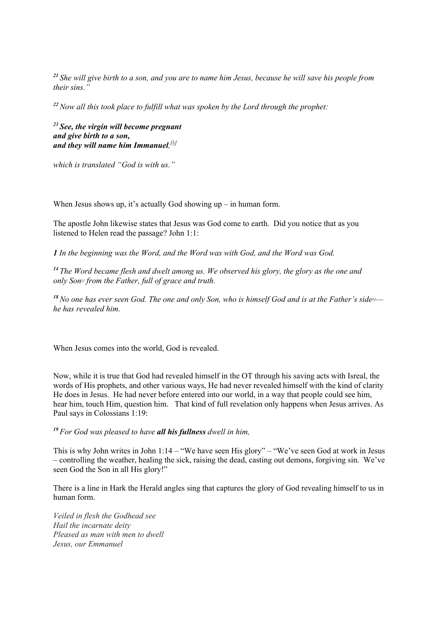*<sup>21</sup> She will give birth to a son, and you are to name him Jesus, because he will save his people from their sins."*

*<sup>22</sup>Now all this took place to fulfill what was spoken by the Lord through the prophet:*

*<sup>23</sup> See, the virgin will become pregnant and give birth to a son, and they will name him Immanuel, [h]*

*which is translated "God is with us."*

When Jesus shows up, it's actually God showing  $up$  – in human form.

The apostle John likewise states that Jesus was God come to earth. Did you notice that as you listened to Helen read the passage? John 1:1:

*1 In the beginning was the Word, and the Word was with God, and the Word was God.*

*<sup>14</sup> The Word became flesh and dwelt among us. We observed his glory, the glory as the one and only Son[i] from the Father, full of grace and truth.*

<sup>18</sup> No one has ever seen God. The one and only Son, who is himself God and is at the Father's side<sup>[k]</sup> *he has revealed him.*

When Jesus comes into the world, God is revealed.

Now, while it is true that God had revealed himself in the OT through his saving acts with Isreal, the words of His prophets, and other various ways, He had never revealed himself with the kind of clarity He does in Jesus. He had never before entered into our world, in a way that people could see him, hear him, touch Him, question him. That kind of full revelation only happens when Jesus arrives. As Paul says in Colossians 1:19:

*<sup>19</sup> For God was pleased to have all his fullness dwell in him,*

This is why John writes in John 1:14 – "We have seen His glory" – "We've seen God at work in Jesus – controlling the weather, healing the sick, raising the dead, casting out demons, forgiving sin. We've seen God the Son in all His glory!"

There is a line in Hark the Herald angles sing that captures the glory of God revealing himself to us in human form.

*Veiled in flesh the Godhead see Hail the incarnate deity Pleased as man with men to dwell Jesus, our Emmanuel*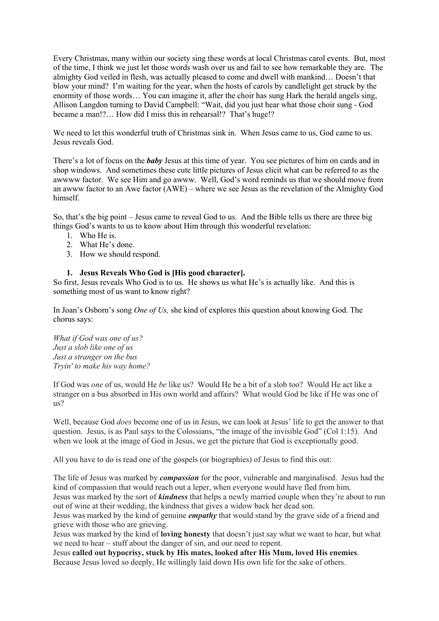Every Christmas, many within our society sing these words at local Christmas carol events. But, most of the time, I think we just let those words wash over us and fail to see how remarkable they are. The almighty God veiled in flesh, was actually pleased to come and dwell with mankind… Doesn't that blow your mind? I'm waiting for the year, when the hosts of carols by candlelight get struck by the enormity of those words… You can imagine it, after the choir has sung Hark the herald angels sing, Allison Langdon turning to David Campbell: "Wait, did you just hear what those choir sung - God became a man!?… How did I miss this in rehearsal!? That's huge!?

We need to let this wonderful truth of Christmas sink in. When Jesus came to us, God came to us. Jesus reveals God.

There's a lot of focus on the *baby* Jesus at this time of year. You see pictures of him on cards and in shop windows. And sometimes these cute little pictures of Jesus elicit what can be referred to as the awwww factor. We see Him and go awww. Well, God's word reminds us that we should move from an awww factor to an Awe factor (AWE) – where we see Jesus as the revelation of the Almighty God himself.

So, that's the big point – Jesus came to reveal God to us. And the Bible tells us there are three big things God's wants to us to know about Him through this wonderful revelation:

- 1. Who He is.
- 2. What He's done.
- 3. How we should respond.

#### **1. Jesus Reveals Who God is [His good character].**

So first, Jesus reveals Who God is to us. He shows us what He's is actually like. And this is something most of us want to know right?

In Joan's Osborn's song *One of Us,* she kind of explores this question about knowing God. The chorus says:

*What if God was one of us? Just a slob like one of us Just a stranger on the bus Tryin' to make his way home?*

If God was *one* of us, would He *be* like us? Would He be a bit of a slob too? Would He act like a stranger on a bus absorbed in His own world and affairs? What would God be like if He was one of us?

Well, because God *does* become one of us in Jesus, we can look at Jesus' life to get the answer to that question. Jesus, is as Paul says to the Colossians, "the image of the invisible God" (Col 1:15). And when we look at the image of God in Jesus, we get the picture that God is exceptionally good.

All you have to do is read one of the gospels (or biographies) of Jesus to find this out:

The life of Jesus was marked by *compassion* for the poor, vulnerable and marginalised. Jesus had the kind of compassion that would reach out a leper, when everyone would have fled from him. Jesus was marked by the sort of *kindness* that helps a newly married couple when they're about to run

out of wine at their wedding, the kindness that gives a widow back her dead son. Jesus was marked by the kind of genuine *empathy* that would stand by the grave side of a friend and

grieve with those who are grieving. Jesus was marked by the kind of **loving honesty** that doesn't just say what we want to hear, but what we need to hear – stuff about the danger of sin, and our need to repent.

Jesus **called out hypocrisy, stuck by His mates, looked after His Mum, loved His enemies**. Because Jesus loved so deeply, He willingly laid down His own life for the sake of others.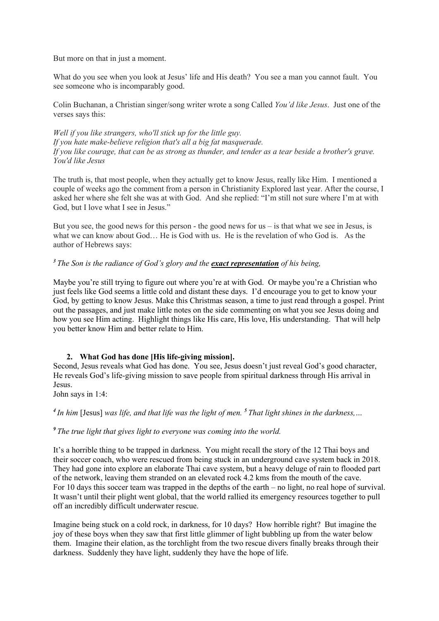But more on that in just a moment.

What do you see when you look at Jesus' life and His death? You see a man you cannot fault. You see someone who is incomparably good.

Colin Buchanan, a Christian singer/song writer wrote a song Called *You'd like Jesus*. Just one of the verses says this:

*Well if you like strangers, who'll stick up for the little guy. If you hate make-believe religion that's all a big fat masquerade. If you like courage, that can be as strong as thunder, and tender as a tear beside a brother's grave. You'd like Jesus*

The truth is, that most people, when they actually get to know Jesus, really like Him. I mentioned a couple of weeks ago the comment from a person in Christianity Explored last year. After the course, I asked her where she felt she was at with God. And she replied: "I'm still not sure where I'm at with God, but I love what I see in Jesus."

But you see, the good news for this person - the good news for  $us - is$  that what we see in Jesus, is what we can know about God… He is God with us. He is the revelation of who God is. As the author of Hebrews says:

## *<sup>3</sup> The Son is the radiance of God's glory and the exact representation of his being,*

Maybe you're still trying to figure out where you're at with God. Or maybe you're a Christian who just feels like God seems a little cold and distant these days. I'd encourage you to get to know your God, by getting to know Jesus. Make this Christmas season, a time to just read through a gospel. Print out the passages, and just make little notes on the side commenting on what you see Jesus doing and how you see Him acting. Highlight things like His care, His love, His understanding. That will help you better know Him and better relate to Him.

#### **2. What God has done [His life-giving mission].**

Second, Jesus reveals what God has done. You see, Jesus doesn't just reveal God's good character, He reveals God's life-giving mission to save people from spiritual darkness through His arrival in Jesus.

John says in 1:4:

*<sup>4</sup> In him* [Jesus] *was life, and that life was the light of men. <sup>5</sup> That light shines in the darkness,…*

#### *<sup>9</sup> The true light that gives light to everyone was coming into the world.*

It's a horrible thing to be trapped in darkness. You might recall the story of the 12 Thai boys and their soccer coach, who were rescued from being stuck in an underground cave system back in 2018. They had gone into explore an elaborate Thai cave system, but a heavy deluge of rain to flooded part of the network, leaving them stranded on an elevated rock 4.2 kms from the mouth of the cave. For 10 days this soccer team was trapped in the depths of the earth – no light, no real hope of survival. It wasn't until their plight went global, that the world rallied its emergency resources together to pull off an incredibly difficult underwater rescue.

Imagine being stuck on a cold rock, in darkness, for 10 days? How horrible right? But imagine the joy of these boys when they saw that first little glimmer of light bubbling up from the water below them. Imagine their elation, as the torchlight from the two rescue divers finally breaks through their darkness. Suddenly they have light, suddenly they have the hope of life.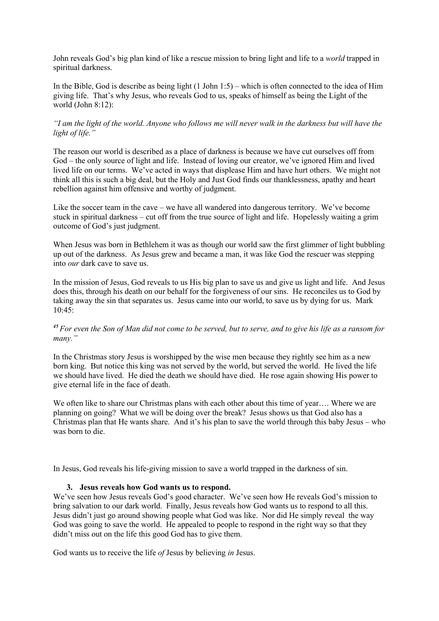John reveals God's big plan kind of like a rescue mission to bring light and life to a *world* trapped in spiritual darkness.

In the Bible, God is describe as being light (1 John 1:5) – which is often connected to the idea of Him giving life. That's why Jesus, who reveals God to us, speaks of himself as being the Light of the world (John 8:12):

## *"I am the light of the world. Anyone who follows me will never walk in the darkness but will have the light of life."*

The reason our world is described as a place of darkness is because we have cut ourselves off from God – the only source of light and life. Instead of loving our creator, we've ignored Him and lived lived life on our terms. We've acted in ways that displease Him and have hurt others. We might not think all this is such a big deal, but the Holy and Just God finds our thanklessness, apathy and heart rebellion against him offensive and worthy of judgment.

Like the soccer team in the cave – we have all wandered into dangerous territory. We've become stuck in spiritual darkness – cut off from the true source of light and life. Hopelessly waiting a grim outcome of God's just judgment.

When Jesus was born in Bethlehem it was as though our world saw the first glimmer of light bubbling up out of the darkness. As Jesus grew and became a man, it was like God the rescuer was stepping into *our* dark cave to save us.

In the mission of Jesus, God reveals to us His big plan to save us and give us light and life. And Jesus does this, through his death on our behalf for the forgiveness of our sins. He reconciles us to God by taking away the sin that separates us. Jesus came into our world, to save us by dying for us. Mark 10:45:

## *<sup>45</sup> For even the Son of Man did not come to be served, but to serve, and to give his life as a ransom for many."*

In the Christmas story Jesus is worshipped by the wise men because they rightly see him as a new born king. But notice this king was not served by the world, but served the world. He lived the life we should have lived. He died the death we should have died. He rose again showing His power to give eternal life in the face of death.

We often like to share our Christmas plans with each other about this time of year.... Where we are planning on going? What we will be doing over the break? Jesus shows us that God also has a Christmas plan that He wants share. And it's his plan to save the world through this baby Jesus – who was born to die.

In Jesus, God reveals his life-giving mission to save a world trapped in the darkness of sin.

#### **3. Jesus reveals how God wants us to respond.**

We've seen how Jesus reveals God's good character. We've seen how He reveals God's mission to bring salvation to our dark world. Finally, Jesus reveals how God wants us to respond to all this. Jesus didn't just go around showing people what God was like. Nor did He simply reveal the way God was going to save the world. He appealed to people to respond in the right way so that they didn't miss out on the life this good God has to give them.

God wants us to receive the life *of* Jesus by believing *in* Jesus.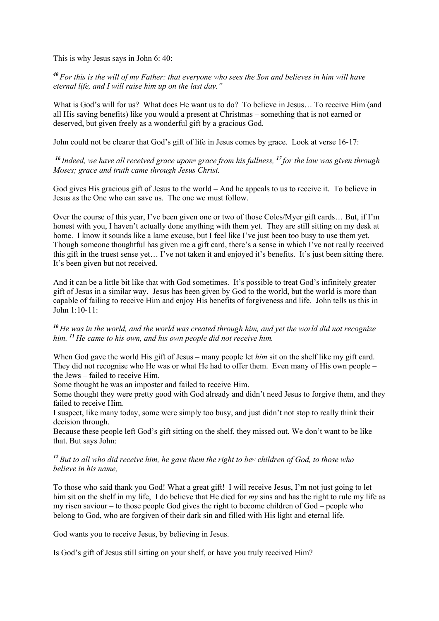This is why Jesus says in John 6: 40:

*<sup>40</sup> For this is the will of my Father: that everyone who sees the Son and believes in him will have eternal life, and I will raise him up on the last day."*

What is God's will for us? What does He want us to do? To believe in Jesus... To receive Him (and all His saving benefits) like you would a present at Christmas – something that is not earned or deserved, but given freely as a wonderful gift by a gracious God.

John could not be clearer that God's gift of life in Jesus comes by grace. Look at verse 16-17:

*<sup>16</sup> Indeed, we have all received grace upon<sup><i>y*</sup> grace from his fullness, <sup>17</sup> *for the law was given through Moses; grace and truth came through Jesus Christ.*

God gives His gracious gift of Jesus to the world – And he appeals to us to receive it. To believe in Jesus as the One who can save us. The one we must follow.

Over the course of this year, I've been given one or two of those Coles/Myer gift cards… But, if I'm honest with you, I haven't actually done anything with them yet. They are still sitting on my desk at home. I know it sounds like a lame excuse, but I feel like I've just been too busy to use them yet. Though someone thoughtful has given me a gift card, there's a sense in which I've not really received this gift in the truest sense yet… I've not taken it and enjoyed it's benefits. It's just been sitting there. It's been given but not received.

And it can be a little bit like that with God sometimes. It's possible to treat God's infinitely greater gift of Jesus in a similar way. Jesus has been given by God to the world, but the world is more than capable of failing to receive Him and enjoy His benefits of forgiveness and life. John tells us this in John 1:10-11:

*<sup>10</sup> He was in the world, and the world was created through him, and yet the world did not recognize him. <sup>11</sup> He came to his own, and his own people did not receive him.*

When God gave the world His gift of Jesus – many people let *him* sit on the shelf like my gift card. They did not recognise who He was or what He had to offer them. Even many of His own people – the Jews – failed to receive Him.

Some thought he was an imposter and failed to receive Him.

Some thought they were pretty good with God already and didn't need Jesus to forgive them, and they failed to receive Him.

I suspect, like many today, some were simply too busy, and just didn't not stop to really think their decision through.

Because these people left God's gift sitting on the shelf, they missed out. We don't want to be like that. But says John:

*<sup>12</sup> But to all who did receive him, he gave them the right to be<sup>[6]</sup> <i>children of God, to those who believe in his name,*

To those who said thank you God! What a great gift! I will receive Jesus, I'm not just going to let him sit on the shelf in my life, I do believe that He died for *my* sins and has the right to rule my life as my risen saviour – to those people God gives the right to become children of God – people who belong to God, who are forgiven of their dark sin and filled with His light and eternal life.

God wants you to receive Jesus, by believing in Jesus.

Is God's gift of Jesus still sitting on your shelf, or have you truly received Him?